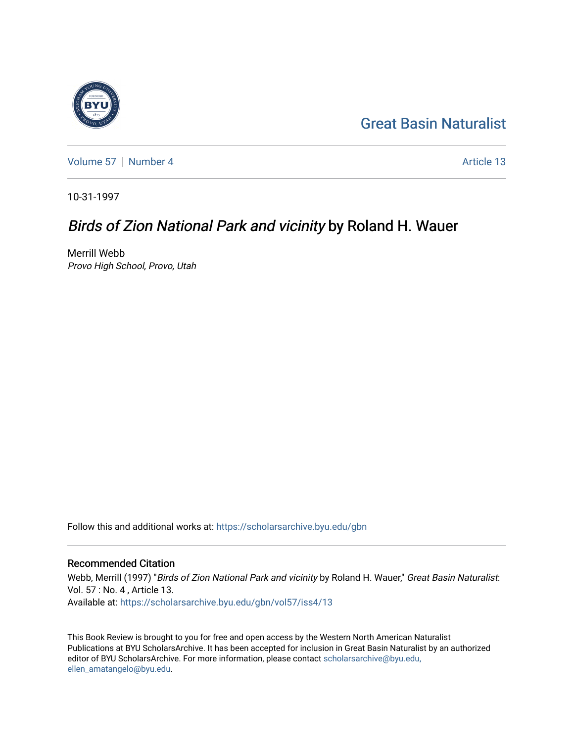## [Great Basin Naturalist](https://scholarsarchive.byu.edu/gbn)

[Volume 57](https://scholarsarchive.byu.edu/gbn/vol57) | [Number 4](https://scholarsarchive.byu.edu/gbn/vol57/iss4) Article 13

10-31-1997

### Birds of Zion National Park and vicinity by Roland H. Wauer

Merrill Webb Provo High School, Provo, Utah

Follow this and additional works at: [https://scholarsarchive.byu.edu/gbn](https://scholarsarchive.byu.edu/gbn?utm_source=scholarsarchive.byu.edu%2Fgbn%2Fvol57%2Fiss4%2F13&utm_medium=PDF&utm_campaign=PDFCoverPages) 

#### Recommended Citation

Webb, Merrill (1997) "Birds of Zion National Park and vicinity by Roland H. Wauer," Great Basin Naturalist: Vol. 57 : No. 4 , Article 13. Available at: [https://scholarsarchive.byu.edu/gbn/vol57/iss4/13](https://scholarsarchive.byu.edu/gbn/vol57/iss4/13?utm_source=scholarsarchive.byu.edu%2Fgbn%2Fvol57%2Fiss4%2F13&utm_medium=PDF&utm_campaign=PDFCoverPages) 

This Book Review is brought to you for free and open access by the Western North American Naturalist Publications at BYU ScholarsArchive. It has been accepted for inclusion in Great Basin Naturalist by an authorized editor of BYU ScholarsArchive. For more information, please contact [scholarsarchive@byu.edu,](mailto:scholarsarchive@byu.edu,%20ellen_amatangelo@byu.edu) [ellen\\_amatangelo@byu.edu](mailto:scholarsarchive@byu.edu,%20ellen_amatangelo@byu.edu).

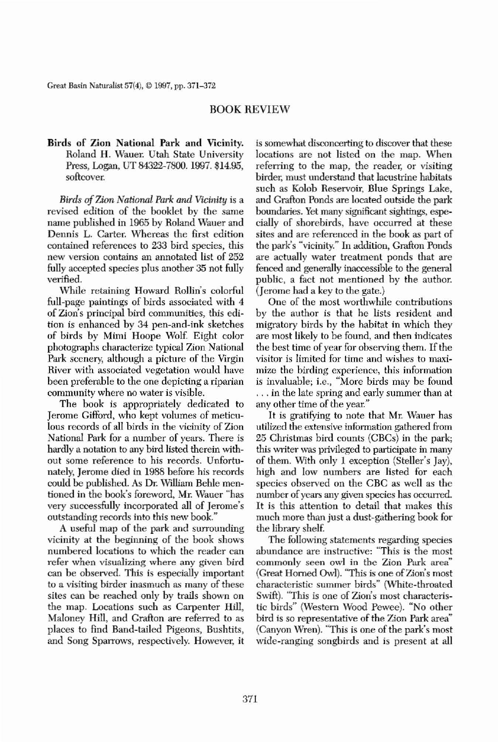Great Basin Naturalist 57(4), © 1997, pp. 371-372

# BOOK REVIEW

Birds of Zion National Park and Vicinity. Roland H. Wauer. Utah State University Press, Logan, UT 84322-7800.1997. \$14.95, softcover.

*Birds* of *Zion National Park and Vicinity* is a revised edition of the booklet by tbe same name publisbed in 1965 by Roland Wauer and Dennis L. Carter. Wbereas the first edition contained references to 233 bird species, this **new version contains an annotated list of 252** fully accepted species plus another 35 not fully verified.

While retaining Howard Rollin's colorful full-page paintings of birds associated with 4 of Zion's principal bird communities, this edition is enhanced by 34 pen-and-ink sketches of birds by Mimi Hoope Wolf. Eigbt color pbotographs characterize typical Zion National Park scenery, although a picture of the Virgin **River with associated vegetation would have** been preferable to the one depicting a riparian **community where no water is visible.** The book is appropriately dedicated to Jerome Gifford, who kept volumes of meticulous records of all birds in the vicinity of Zion National Park for a number of years. There is hardly a notation to any bird listed therein with**out some reference to his records. Unfortu**nately, Jerome died in 1988 before his records could be published. As Dr William Behle mentioned in the book's foreword, Mr. Wauer "has **very successfully incorporated all of Jerome's outstanding records into this new book."** A useful map of the park and surrounding vicinity at the beginning of the book shows **numbered locations to which the reader can refer when visualizing where any given bird** can be observed. This is especially important **to a visiting birder inasmuch as many of these** sites can be reached only by trails shown on the map. Locations such as Carpenter Hill, Maloney Hill, and Grafton are referred to as places to find Band-tailed Pigeons, Bushtits, **and Song Sparrows, respectively. However, it** **is somewhat disconcerting to discover that these** locations are not listed on the map. When **referring to the map. the reader, or visiting** birder, must understand that lacustrine habitats such as Kolob Reservoir, Blue Springs Lake, and Grafton Ponds are located outside the park boundaries. Yet many significant sightings, especially of shorebirds, have occurred at these sites and are referenced in the book as part of the park's "vicinity." In addition, Grafton Ponds are actually water treatment ponds that are fenced and generally inaccessible to the general public, a fact not mentioned by the author. (Jerome had a key to the gate.)

One of the most worthwhile contributions by the author is that he lists resident and migratory birds by the habitat in which they are most likely to be found, and then indicates the best time of year for observing them. If the **visitor is limited for time and wishes to maxi· mize the birding experience, this information** is invaluahle; i.e., "More birds may be found ... in the late spring and early summer than at any other time of the year." It is gratifying to note that Mr. Wauer has utilized the extensive information gathered from 25 Christmas bird counts (CBCs) in the park; **this writer was privileged to participate in many** of them. With only 1 exception (Steller's Jay), high and low numbers are listed for each species observed on the CBC as well as the **number** of years any given species has occurred. It is this attention to detail that makes this much more than just a dust-gathering book for the library shelf The following statements regarding species **abundance are instructive: "This is the most commonly seen owl in the Zion Park area"** (Great Horned Owl). "This is one of Zion's most characteristic summer birds" (White-throated SWift). "This is one of Zion's most characteristic birds" (Westem Wood Pewee). "No other bird is so representative of the Zion Park area" (Canyon Wren). "This is one of the park's most **wide.ranging songbirds and is present at all**